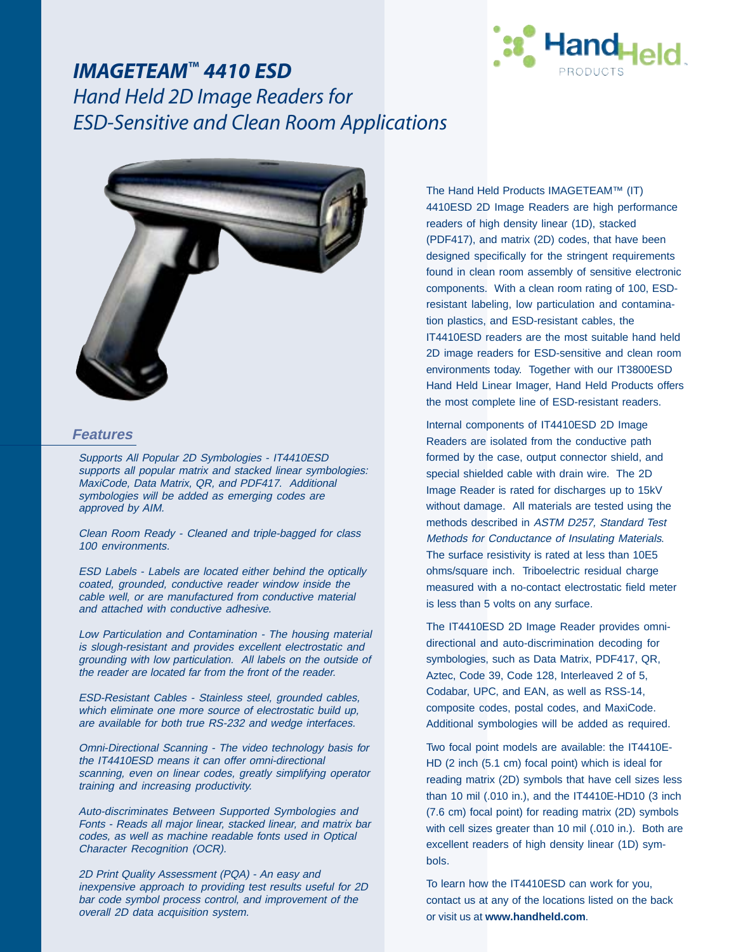

## *IMAGETEAM™ 4410 ESD Hand Held 2D Image Readers for ESD-Sensitive and Clean Room Applications*



### **Features**

Supports All Popular 2D Symbologies - IT4410ESD supports all popular matrix and stacked linear symbologies: MaxiCode, Data Matrix, QR, and PDF417. Additional symbologies will be added as emerging codes are approved by AIM.

Clean Room Ready - Cleaned and triple-bagged for class 100 environments.

ESD Labels - Labels are located either behind the optically coated, grounded, conductive reader window inside the cable well, or are manufactured from conductive material and attached with conductive adhesive.

Low Particulation and Contamination - The housing material is slough-resistant and provides excellent electrostatic and grounding with low particulation. All labels on the outside of the reader are located far from the front of the reader.

ESD-Resistant Cables - Stainless steel, grounded cables, which eliminate one more source of electrostatic build up, are available for both true RS-232 and wedge interfaces.

Omni-Directional Scanning - The video technology basis for the IT4410ESD means it can offer omni-directional scanning, even on linear codes, greatly simplifying operator training and increasing productivity.

Auto-discriminates Between Supported Symbologies and Fonts - Reads all major linear, stacked linear, and matrix bar codes, as well as machine readable fonts used in Optical Character Recognition (OCR).

2D Print Quality Assessment (PQA) - An easy and inexpensive approach to providing test results useful for 2D bar code symbol process control, and improvement of the overall 2D data acquisition system.

The Hand Held Products IMAGETEAM™ (IT) 4410ESD 2D Image Readers are high performance readers of high density linear (1D), stacked (PDF417), and matrix (2D) codes, that have been designed specifically for the stringent requirements found in clean room assembly of sensitive electronic components. With a clean room rating of 100, ESDresistant labeling, low particulation and contamination plastics, and ESD-resistant cables, the IT4410ESD readers are the most suitable hand held 2D image readers for ESD-sensitive and clean room environments today. Together with our IT3800ESD Hand Held Linear Imager, Hand Held Products offers the most complete line of ESD-resistant readers.

Internal components of IT4410ESD 2D Image Readers are isolated from the conductive path formed by the case, output connector shield, and special shielded cable with drain wire. The 2D Image Reader is rated for discharges up to 15kV without damage. All materials are tested using the methods described in ASTM D257, Standard Test Methods for Conductance of Insulating Materials. The surface resistivity is rated at less than 10E5 ohms/square inch. Triboelectric residual charge measured with a no-contact electrostatic field meter is less than 5 volts on any surface.

The IT4410ESD 2D Image Reader provides omnidirectional and auto-discrimination decoding for symbologies, such as Data Matrix, PDF417, QR, Aztec, Code 39, Code 128, Interleaved 2 of 5, Codabar, UPC, and EAN, as well as RSS-14, composite codes, postal codes, and MaxiCode. Additional symbologies will be added as required.

Two focal point models are available: the IT4410E-HD (2 inch (5.1 cm) focal point) which is ideal for reading matrix (2D) symbols that have cell sizes less than 10 mil (.010 in.), and the IT4410E-HD10 (3 inch (7.6 cm) focal point) for reading matrix (2D) symbols with cell sizes greater than 10 mil (.010 in.). Both are excellent readers of high density linear (1D) symbols.

To learn how the IT4410ESD can work for you, contact us at any of the locations listed on the back or visit us at **www.handheld.com**.